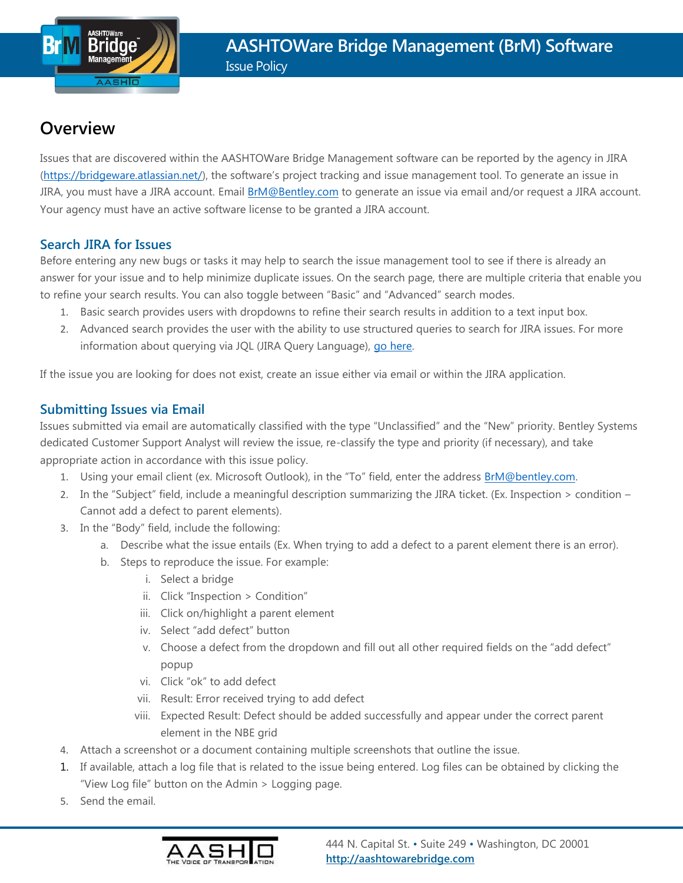# **Overview**

Issues that are discovered within the AASHTOWare Bridge Management software can be reported by the agency in JIRA [\(https://bridgeware.atlassian.net/\)](https://bridgeware.atlassian.net/), the software's project tracking and issue management tool. To generate an issue in JIRA, you must have a JIRA account. Email **BrM@Bentley.com** to generate an issue via email and/or request a JIRA account. Your agency must have an active software license to be granted a JIRA account.

### **Search JIRA for Issues**

Before entering any new bugs or tasks it may help to search the issue management tool to see if there is already an answer for your issue and to help minimize duplicate issues. On the search page, there are multiple criteria that enable you to refine your search results. You can also toggle between "Basic" and "Advanced" search modes.

- 1. Basic search provides users with dropdowns to refine their search results in addition to a text input box.
- 2. Advanced search provides the user with the ability to use structured queries to search for JIRA issues. For more information about querying via JQL (JIRA Query Language), go here.

If the issue you are looking for does not exist, create an issue either via email or within the JIRA application.

# **Submitting Issues via Email**

Issues submitted via email are automatically classified with the type "Unclassified" and the "New" priority. Bentley Systems dedicated Customer Support Analyst will review the issue, re-classify the type and priority (if necessary), and take appropriate action in accordance with this issue policy.

- 1. Using your email client (ex. Microsoft Outlook), in the "To" field, enter the address **BrM@bentley.com**.
- 2. In the "Subject" field, include a meaningful description summarizing the JIRA ticket. (Ex. Inspection > condition Cannot add a defect to parent elements).
- 3. In the "Body" field, include the following:
	- a. Describe what the issue entails (Ex. When trying to add a defect to a parent element there is an error).
	- b. Steps to reproduce the issue. For example:
		- i. Select a bridge
		- ii. Click "Inspection > Condition"
		- iii. Click on/highlight a parent element
		- iv. Select "add defect" button
		- v. Choose a defect from the dropdown and fill out all other required fields on the "add defect" popup
		- vi. Click "ok" to add defect
		- vii. Result: Error received trying to add defect
		- viii. Expected Result: Defect should be added successfully and appear under the correct parent element in the NBE grid
- 4. Attach a screenshot or a document containing multiple screenshots that outline the issue.
- 1. If available, attach a log file that is related to the issue being entered. Log files can be obtained by clicking the "View Log file" button on the Admin > Logging page.
- 5. Send the email.

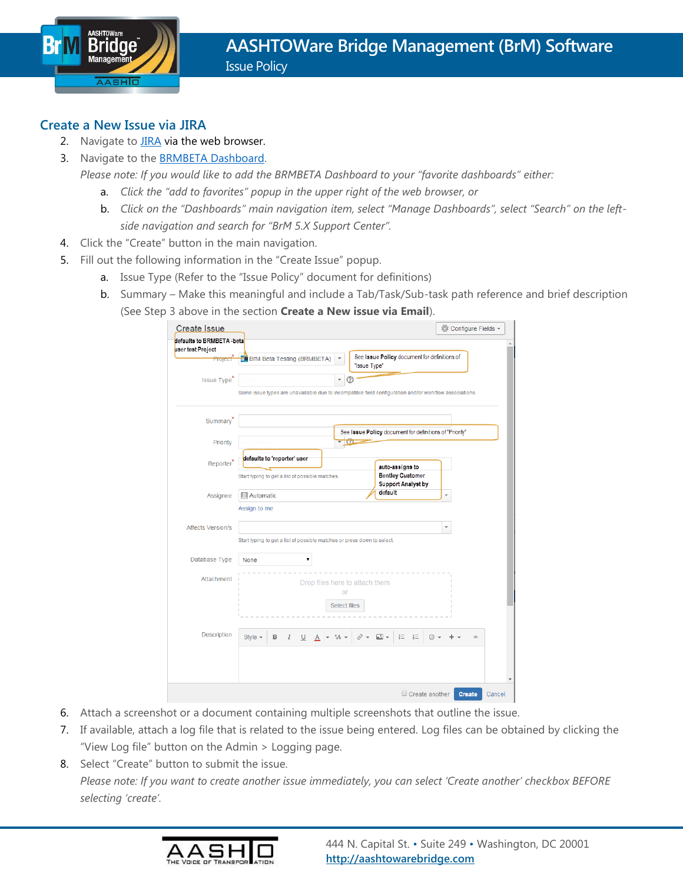

#### **Create a New Issue via JIRA**

- 2. Navigate to **JIRA** via the web browser.
- 3. Navigate to the **BRMBETA Dashboard**.

*Please note: If you would like to add the BRMBETA Dashboard to your "favorite dashboards" either:*

- a. *Click the "add to favorites" popup in the upper right of the web browser, or*
- b. *Click on the "Dashboards" main navigation item, select "Manage Dashboards", select "Search" on the leftside navigation and search for "BrM 5.X Support Center".*
- 4. Click the "Create" button in the main navigation.
- 5. Fill out the following information in the "Create Issue" popup.
	- a. Issue Type (Refer to the "Issue Policy" document for definitions)
	- b. Summary Make this meaningful and include a Tab/Task/Sub-task path reference and brief description (See Step 3 above in the section **Create a New issue via Email**).

| <b>Create Issue</b>                             |                                                                                                                              | © Configure Fields ▼     |
|-------------------------------------------------|------------------------------------------------------------------------------------------------------------------------------|--------------------------|
| defaults to BRMBETA - beta<br>user test Project |                                                                                                                              |                          |
| Project                                         | See Issue Policy document for definitions of<br>M BrM Beta Testing (BRMBETA)<br>"Issue Type"                                 |                          |
| <b>Issue Type</b>                               | Some issue types are unavailable due to incompatible field configuration and/or workflow associations.                       |                          |
| <b>Summary</b>                                  | See Issue Policy document for definitions of "Priority"                                                                      |                          |
| Priority                                        | $\overline{\omega}$                                                                                                          |                          |
| Reporter <sup>'</sup>                           | defaults to 'reporter' user<br>auto-assigns to<br><b>Bentley Customer</b><br>Start typing to get a list of possible matches. |                          |
| Assignee                                        | <b>Support Analyst by</b><br>default<br><b>Automatic</b><br>Assign to me                                                     | $\overline{\phantom{a}}$ |
| <b>Affects Version/s</b>                        | Start typing to get a list of possible matches or press down to select.                                                      | v                        |
| Database Type<br><b>None</b>                    | v                                                                                                                            |                          |
| <b>Attachment</b>                               | Drop files here to attach them<br>or<br><b>Select files</b>                                                                  |                          |
| <b>Description</b>                              | Style $\sim$<br>a -<br>這<br>B<br>I<br>U<br>c<br>汇<br>ªA<br>☺<br>A                                                            | $\hat{ }$                |
|                                                 |                                                                                                                              |                          |
|                                                 | Create another                                                                                                               | <b>Create</b><br>Cancel  |

- 6. Attach a screenshot or a document containing multiple screenshots that outline the issue.
- 7. If available, attach a log file that is related to the issue being entered. Log files can be obtained by clicking the "View Log file" button on the Admin > Logging page.
- 8. Select "Create" button to submit the issue. *Please note: If you want to create another issue immediately, you can select 'Create another' checkbox BEFORE selecting 'create'.*

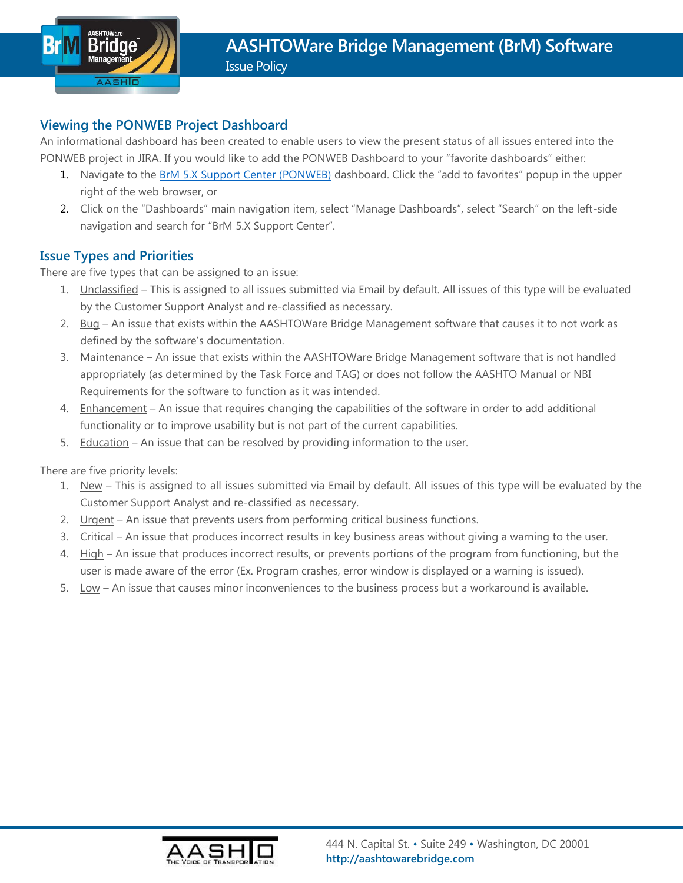

#### **Viewing the PONWEB Project Dashboard**

An informational dashboard has been created to enable users to view the present status of all issues entered into the PONWEB project in JIRA. If you would like to add the PONWEB Dashboard to your "favorite dashboards" either:

- 1. Navigate to the [BrM 5.X Support Center \(PONWEB\)](https://bridgeware.atlassian.net/secure/Dashboard.jspa?selectPageId=11312) dashboard. Click the "add to favorites" popup in the upper right of the web browser, or
- 2. Click on the "Dashboards" main navigation item, select "Manage Dashboards", select "Search" on the left-side navigation and search for "BrM 5.X Support Center".

#### **Issue Types and Priorities**

There are five types that can be assigned to an issue:

- 1. Unclassified This is assigned to all issues submitted via Email by default. All issues of this type will be evaluated by the Customer Support Analyst and re-classified as necessary.
- 2. Bug An issue that exists within the AASHTOWare Bridge Management software that causes it to not work as defined by the software's documentation.
- 3. Maintenance An issue that exists within the AASHTOWare Bridge Management software that is not handled appropriately (as determined by the Task Force and TAG) or does not follow the AASHTO Manual or NBI Requirements for the software to function as it was intended.
- 4. Enhancement An issue that requires changing the capabilities of the software in order to add additional functionality or to improve usability but is not part of the current capabilities.
- 5. Education An issue that can be resolved by providing information to the user.

There are five priority levels:

- 1. New This is assigned to all issues submitted via Email by default. All issues of this type will be evaluated by the Customer Support Analyst and re-classified as necessary.
- 2. Urgent An issue that prevents users from performing critical business functions.
- 3. Critical An issue that produces incorrect results in key business areas without giving a warning to the user.
- 4. High An issue that produces incorrect results, or prevents portions of the program from functioning, but the user is made aware of the error (Ex. Program crashes, error window is displayed or a warning is issued).
- 5. Low An issue that causes minor inconveniences to the business process but a workaround is available.

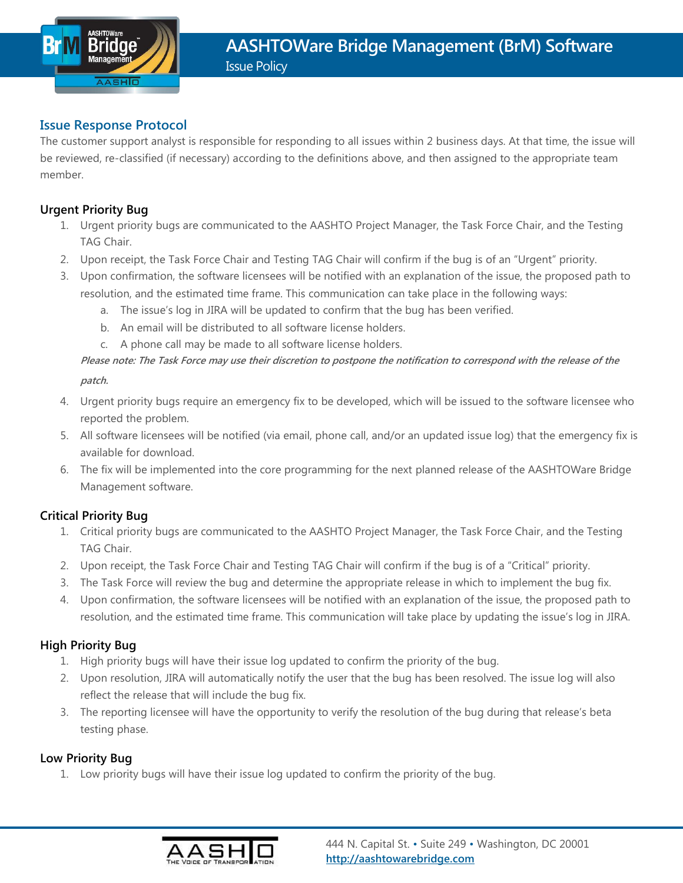

#### **Issue Response Protocol**

The customer support analyst is responsible for responding to all issues within 2 business days. At that time, the issue will be reviewed, re-classified (if necessary) according to the definitions above, and then assigned to the appropriate team member.

#### **Urgent Priority Bug**

- 1. Urgent priority bugs are communicated to the AASHTO Project Manager, the Task Force Chair, and the Testing TAG Chair.
- 2. Upon receipt, the Task Force Chair and Testing TAG Chair will confirm if the bug is of an "Urgent" priority.
- 3. Upon confirmation, the software licensees will be notified with an explanation of the issue, the proposed path to resolution, and the estimated time frame. This communication can take place in the following ways:
	- a. The issue's log in JIRA will be updated to confirm that the bug has been verified.
	- b. An email will be distributed to all software license holders.
	- c. A phone call may be made to all software license holders.

# **Please note: The Task Force may use their discretion to postpone the notification to correspond with the release of the**

**patch.**

- 4. Urgent priority bugs require an emergency fix to be developed, which will be issued to the software licensee who reported the problem.
- 5. All software licensees will be notified (via email, phone call, and/or an updated issue log) that the emergency fix is available for download.
- 6. The fix will be implemented into the core programming for the next planned release of the AASHTOWare Bridge Management software.

#### **Critical Priority Bug**

- 1. Critical priority bugs are communicated to the AASHTO Project Manager, the Task Force Chair, and the Testing TAG Chair.
- 2. Upon receipt, the Task Force Chair and Testing TAG Chair will confirm if the bug is of a "Critical" priority.
- 3. The Task Force will review the bug and determine the appropriate release in which to implement the bug fix.
- 4. Upon confirmation, the software licensees will be notified with an explanation of the issue, the proposed path to resolution, and the estimated time frame. This communication will take place by updating the issue's log in JIRA.

#### **High Priority Bug**

- 1. High priority bugs will have their issue log updated to confirm the priority of the bug.
- 2. Upon resolution, JIRA will automatically notify the user that the bug has been resolved. The issue log will also reflect the release that will include the bug fix.
- 3. The reporting licensee will have the opportunity to verify the resolution of the bug during that release's beta testing phase.

#### **Low Priority Bug**

1. Low priority bugs will have their issue log updated to confirm the priority of the bug.

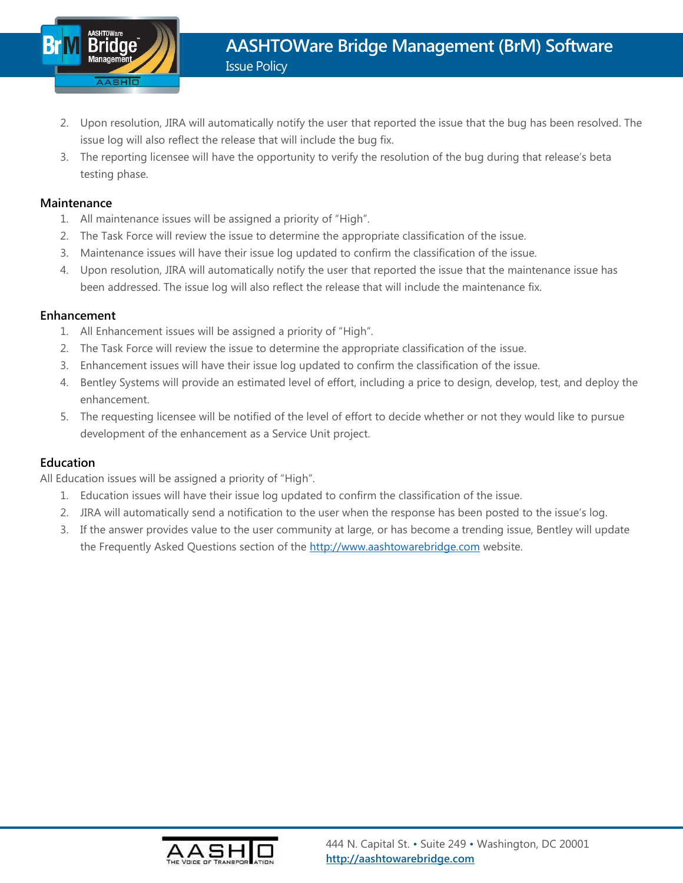

- 2. Upon resolution, JIRA will automatically notify the user that reported the issue that the bug has been resolved. The issue log will also reflect the release that will include the bug fix.
- 3. The reporting licensee will have the opportunity to verify the resolution of the bug during that release's beta testing phase.

#### **Maintenance**

- 1. All maintenance issues will be assigned a priority of "High".
- 2. The Task Force will review the issue to determine the appropriate classification of the issue.
- 3. Maintenance issues will have their issue log updated to confirm the classification of the issue.
- 4. Upon resolution, JIRA will automatically notify the user that reported the issue that the maintenance issue has been addressed. The issue log will also reflect the release that will include the maintenance fix.

#### **Enhancement**

- 1. All Enhancement issues will be assigned a priority of "High".
- 2. The Task Force will review the issue to determine the appropriate classification of the issue.
- 3. Enhancement issues will have their issue log updated to confirm the classification of the issue.
- 4. Bentley Systems will provide an estimated level of effort, including a price to design, develop, test, and deploy the enhancement.
- 5. The requesting licensee will be notified of the level of effort to decide whether or not they would like to pursue development of the enhancement as a Service Unit project.

#### **Education**

All Education issues will be assigned a priority of "High".

- 1. Education issues will have their issue log updated to confirm the classification of the issue.
- 2. JIRA will automatically send a notification to the user when the response has been posted to the issue's log.
- 3. If the answer provides value to the user community at large, or has become a trending issue, Bentley will update the Frequently Asked Questions section of the [http://www.aashtowarebridge.com](http://www.aashtowarebridge.com/) website.

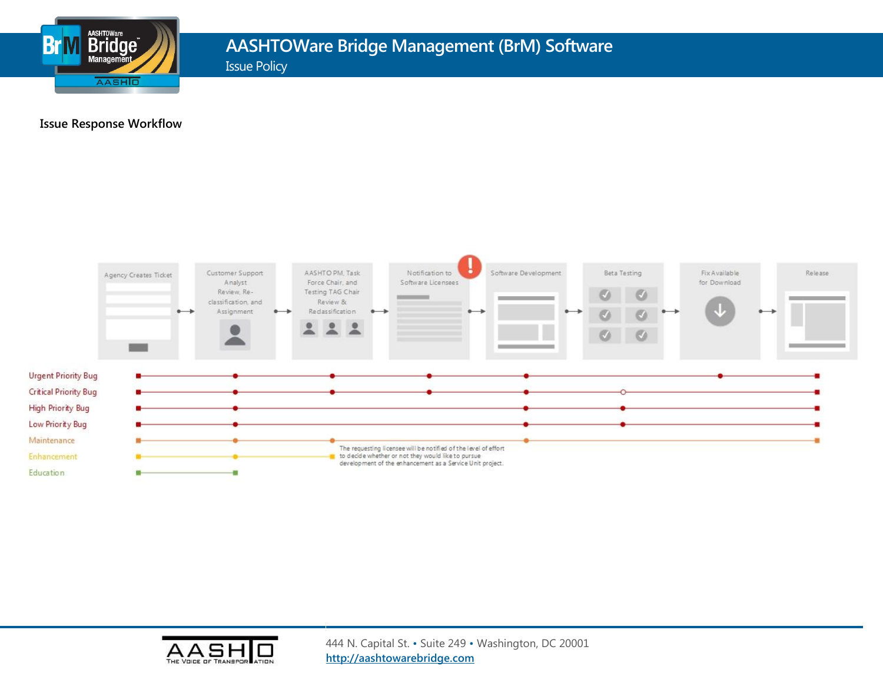

# **AASHTOWare Bridge Management (BrM) Software**

Issue Policy

#### **Issue Response Workflow**



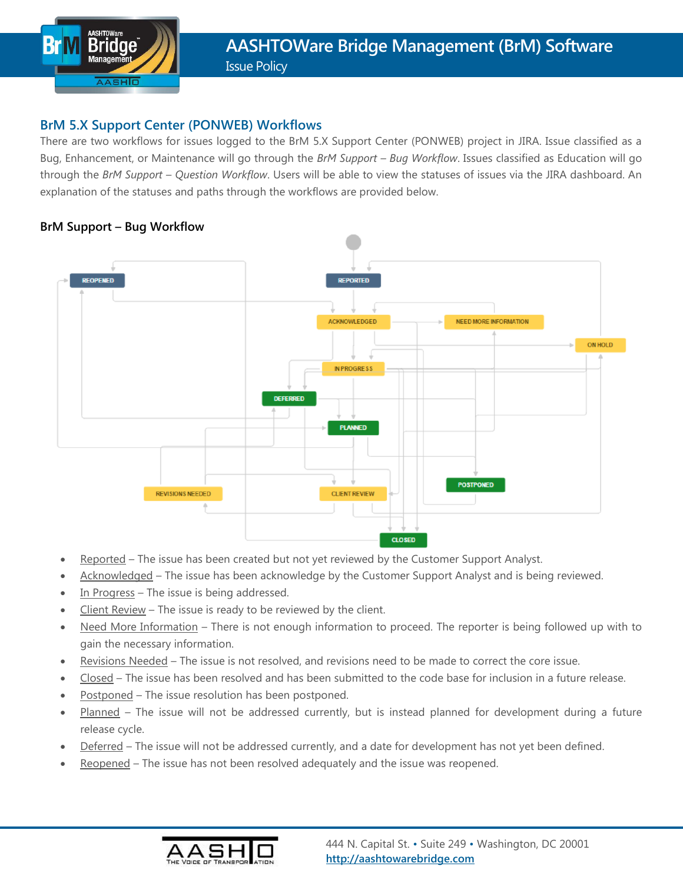

#### **BrM 5.X Support Center (PONWEB) Workflows**

There are two workflows for issues logged to the BrM 5.X Support Center (PONWEB) project in JIRA. Issue classified as a Bug, Enhancement, or Maintenance will go through the *BrM Support – Bug Workflow*. Issues classified as Education will go through the *BrM Support – Question Workflow*. Users will be able to view the statuses of issues via the JIRA dashboard. An explanation of the statuses and paths through the workflows are provided below.

#### **BrM Support – Bug Workflow**



- Reported The issue has been created but not yet reviewed by the Customer Support Analyst.
- Acknowledged The issue has been acknowledge by the Customer Support Analyst and is being reviewed.
- In Progress The issue is being addressed.
- Client Review The issue is ready to be reviewed by the client.
- Need More Information There is not enough information to proceed. The reporter is being followed up with to gain the necessary information.
- Revisions Needed The issue is not resolved, and revisions need to be made to correct the core issue.
- Closed The issue has been resolved and has been submitted to the code base for inclusion in a future release.
- Postponed The issue resolution has been postponed.
- Planned The issue will not be addressed currently, but is instead planned for development during a future release cycle.
- Deferred The issue will not be addressed currently, and a date for development has not yet been defined.
- Reopened The issue has not been resolved adequately and the issue was reopened.